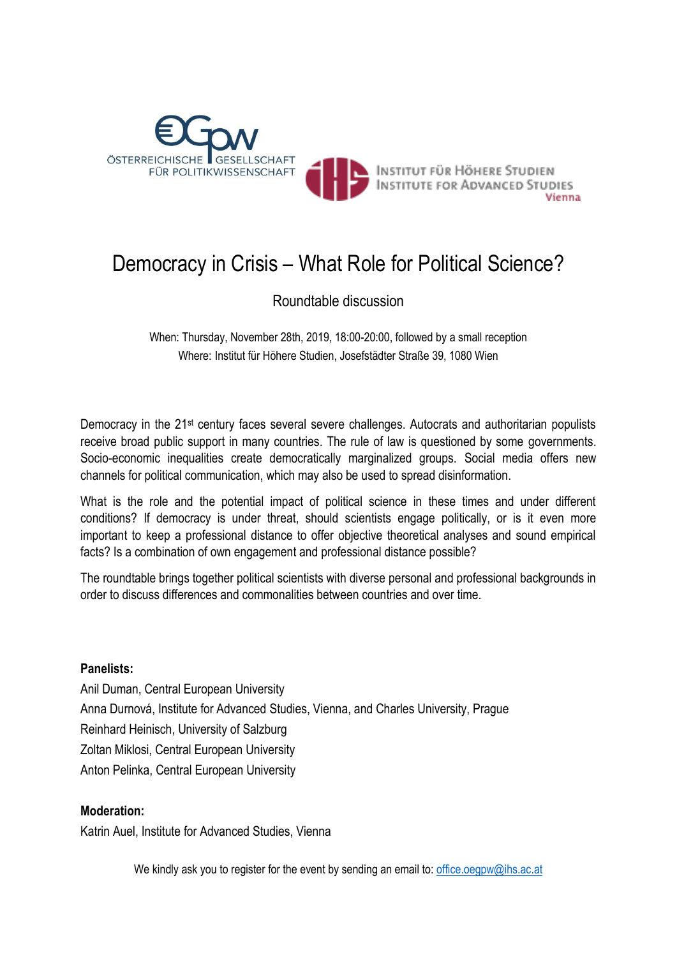

# Democracy in Crisis – What Role for Political Science?

Roundtable discussion

When: Thursday, November 28th, 2019, 18:00-20:00, followed by a small reception Where: Institut für Höhere Studien, Josefstädter Straße 39, 1080 Wien

Democracy in the 21<sup>st</sup> century faces several severe challenges. Autocrats and authoritarian populists receive broad public support in many countries. The rule of law is questioned by some governments. Socio-economic inequalities create democratically marginalized groups. Social media offers new channels for political communication, which may also be used to spread disinformation.

What is the role and the potential impact of political science in these times and under different conditions? If democracy is under threat, should scientists engage politically, or is it even more important to keep a professional distance to offer objective theoretical analyses and sound empirical facts? Is a combination of own engagement and professional distance possible?

The roundtable brings together political scientists with diverse personal and professional backgrounds in order to discuss differences and commonalities between countries and over time.

# **Panelists:**

Anil Duman, Central European University Anna Durnová, Institute for Advanced Studies, Vienna, and Charles University, Prague Reinhard Heinisch, University of Salzburg Zoltan Miklosi, Central European University Anton Pelinka, Central European University

# **Moderation:**

Katrin Auel, Institute for Advanced Studies, Vienna

We kindly ask you to register for the event by sending an email to: [office.oegpw@ihs.ac.at](mailto:office.oegpw@ihs.ac.at)